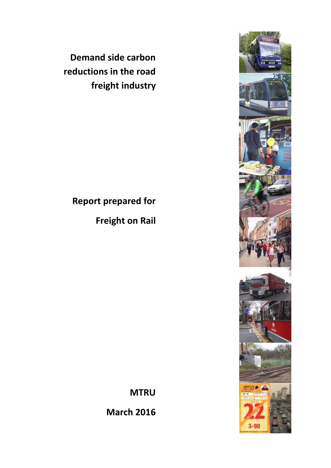**Demand side carbon reductions in the road freight industry** 

# **Report prepared for**

**Freight on Rail**

**MTRU** 

**March 2016** 

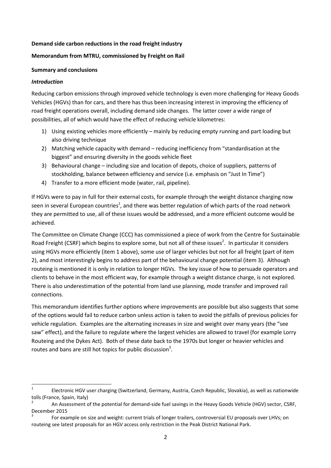#### **Demand side carbon reductions in the road freight industry**

## **Memorandum from MTRU, commissioned by Freight on Rail**

#### **Summary and conclusions**

#### *Introduction*

Reducing carbon emissions through improved vehicle technology is even more challenging for Heavy Goods Vehicles (HGVs) than for cars, and there has thus been increasing interest in improving the efficiency of road freight operations overall, including demand side changes. The latter cover a wide range of possibilities, all of which would have the effect of reducing vehicle kilometres:

- 1) Using existing vehicles more efficiently mainly by reducing empty running and part loading but also driving technique
- 2) Matching vehicle capacity with demand reducing inefficiency from "standardisation at the biggest" and ensuring diversity in the goods vehicle fleet
- 3) Behavioural change including size and location of depots, choice of suppliers, patterns of stockholding, balance between efficiency and service (i.e. emphasis on "Just In Time")
- 4) Transfer to a more efficient mode (water, rail, pipeline).

If HGVs were to pay in full for their external costs, for example through the weight distance charging now seen in several European countries<sup>1</sup>, and there was better regulation of which parts of the road network they are permitted to use, all of these issues would be addressed, and a more efficient outcome would be achieved.

The Committee on Climate Change (CCC) has commissioned a piece of work from the Centre for Sustainable Road Freight (CSRF) which begins to explore some, but not all of these issues<sup>2</sup>. In particular it considers using HGVs more efficiently (item 1 above), some use of larger vehicles but not for all freight (part of item 2), and most interestingly begins to address part of the behavioural change potential (item 3). Although routeing is mentioned it is only in relation to longer HGVs. The key issue of how to persuade operators and clients to behave in the most efficient way, for example through a weight distance charge, is not explored. There is also underestimation of the potential from land use planning, mode transfer and improved rail connections.

This memorandum identifies further options where improvements are possible but also suggests that some of the options would fail to reduce carbon unless action is taken to avoid the pitfalls of previous policies for vehicle regulation. Examples are the alternating increases in size and weight over many years (the "see saw" effect), and the failure to regulate where the largest vehicles are allowed to travel (for example Lorry Routeing and the Dykes Act). Both of these date back to the 1970s but longer or heavier vehicles and routes and bans are still hot topics for public discussion<sup>3</sup>.

 $\frac{1}{1}$  Electronic HGV user charging (Switzerland, Germany, Austria, Czech Republic, Slovakia), as well as nationwide tolls (France, Spain, Italy)

<sup>2</sup> An Assessment of the potential for demand-side fuel savings in the Heavy Goods Vehicle (HGV) sector, CSRF, December 2015

<sup>3</sup> For example on size and weight: current trials of longer trailers, controversial EU proposals over LHVs; on routeing see latest proposals for an HGV access only restriction in the Peak District National Park.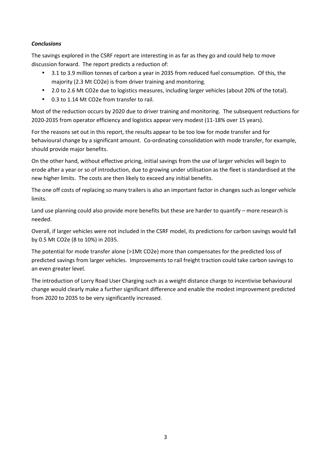## *Conclusions*

The savings explored in the CSRF report are interesting in as far as they go and could help to move discussion forward. The report predicts a reduction of:

- 3.1 to 3.9 million tonnes of carbon a year in 2035 from reduced fuel consumption. Of this, the majority (2.3 Mt CO2e) is from driver training and monitoring.
- 2.0 to 2.6 Mt CO2e due to logistics measures, including larger vehicles (about 20% of the total).
- 0.3 to 1.14 Mt CO2e from transfer to rail.

Most of the reduction occurs by 2020 due to driver training and monitoring. The subsequent reductions for 2020-2035 from operator efficiency and logistics appear very modest (11-18% over 15 years).

For the reasons set out in this report, the results appear to be too low for mode transfer and for behavioural change by a significant amount. Co-ordinating consolidation with mode transfer, for example, should provide major benefits.

On the other hand, without effective pricing, initial savings from the use of larger vehicles will begin to erode after a year or so of introduction, due to growing under utilisation as the fleet is standardised at the new higher limits. The costs are then likely to exceed any initial benefits.

The one off costs of replacing so many trailers is also an important factor in changes such as longer vehicle limits.

Land use planning could also provide more benefits but these are harder to quantify – more research is needed.

Overall, if larger vehicles were not included in the CSRF model, its predictions for carbon savings would fall by 0.5 Mt CO2e (8 to 10%) in 2035.

The potential for mode transfer alone (>1Mt CO2e) more than compensates for the predicted loss of predicted savings from larger vehicles. Improvements to rail freight traction could take carbon savings to an even greater level.

The introduction of Lorry Road User Charging such as a weight distance charge to incentivise behavioural change would clearly make a further significant difference and enable the modest improvement predicted from 2020 to 2035 to be very significantly increased.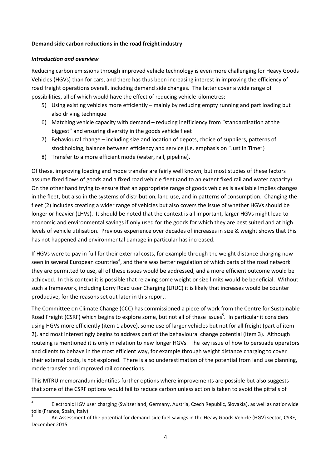#### **Demand side carbon reductions in the road freight industry**

#### *Introduction and overview*

Reducing carbon emissions through improved vehicle technology is even more challenging for Heavy Goods Vehicles (HGVs) than for cars, and there has thus been increasing interest in improving the efficiency of road freight operations overall, including demand side changes. The latter cover a wide range of possibilities, all of which would have the effect of reducing vehicle kilometres:

- 5) Using existing vehicles more efficiently mainly by reducing empty running and part loading but also driving technique
- 6) Matching vehicle capacity with demand reducing inefficiency from "standardisation at the biggest" and ensuring diversity in the goods vehicle fleet
- 7) Behavioural change including size and location of depots, choice of suppliers, patterns of stockholding, balance between efficiency and service (i.e. emphasis on "Just In Time")
- 8) Transfer to a more efficient mode (water, rail, pipeline).

Of these, improving loading and mode transfer are fairly well known, but most studies of these factors assume fixed flows of goods and a fixed road vehicle fleet (and to an extent fixed rail and water capacity). On the other hand trying to ensure that an appropriate range of goods vehicles is available implies changes in the fleet, but also in the systems of distribution, land use, and in patterns of consumption. Changing the fleet (2) includes creating a wider range of vehicles but also covers the issue of whether HGVs should be longer or heavier (LHVs). It should be noted that the context is all important, larger HGVs might lead to economic and environmental savings if only used for the goods for which they are best suited and at high levels of vehicle utilisation. Previous experience over decades of increases in size & weight shows that this has not happened and environmental damage in particular has increased.

If HGVs were to pay in full for their external costs, for example through the weight distance charging now seen in several European countries<sup>4</sup>, and there was better regulation of which parts of the road network they are permitted to use, all of these issues would be addressed, and a more efficient outcome would be achieved. In this context it is possible that relaxing some weight or size limits would be beneficial. Without such a framework, including Lorry Road user Charging (LRUC) it is likely that increases would be counter productive, for the reasons set out later in this report.

The Committee on Climate Change (CCC) has commissioned a piece of work from the Centre for Sustainable Road Freight (CSRF) which begins to explore some, but not all of these issues<sup>5</sup>. In particular it considers using HGVs more efficiently (item 1 above), some use of larger vehicles but not for all freight (part of item 2), and most interestingly begins to address part of the behavioural change potential (item 3). Although routeing is mentioned it is only in relation to new longer HGVs. The key issue of how to persuade operators and clients to behave in the most efficient way, for example through weight distance charging to cover their external costs, is not explored. There is also underestimation of the potential from land use planning, mode transfer and improved rail connections.

This MTRU memorandum identifies further options where improvements are possible but also suggests that some of the CSRF options would fail to reduce carbon unless action is taken to avoid the pitfalls of

 $\frac{1}{4}$  Electronic HGV user charging (Switzerland, Germany, Austria, Czech Republic, Slovakia), as well as nationwide tolls (France, Spain, Italy)

<sup>5</sup> An Assessment of the potential for demand-side fuel savings in the Heavy Goods Vehicle (HGV) sector, CSRF, December 2015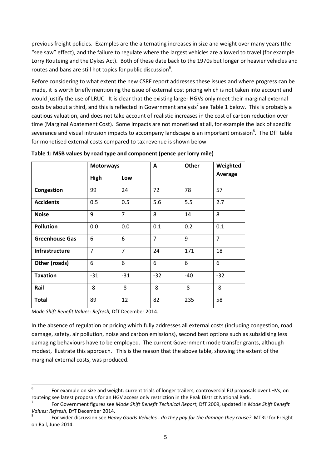previous freight policies. Examples are the alternating increases in size and weight over many years (the "see saw" effect), and the failure to regulate where the largest vehicles are allowed to travel (for example Lorry Routeing and the Dykes Act). Both of these date back to the 1970s but longer or heavier vehicles and routes and bans are still hot topics for public discussion<sup>6</sup>.

Before considering to what extent the new CSRF report addresses these issues and where progress can be made, it is worth briefly mentioning the issue of external cost pricing which is not taken into account and would justify the use of LRUC. It is clear that the existing larger HGVs only meet their marginal external costs by about a third, and this is reflected in Government analysis<sup>7</sup> see Table 1 below. This is probably a cautious valuation, and does not take account of realistic increases in the cost of carbon reduction over time (Marginal Abatement Cost). Some impacts are not monetised at all, for example the lack of specific severance and visual intrusion impacts to accompany landscape is an important omission<sup>8</sup>. The DfT table for monetised external costs compared to tax revenue is shown below.

|                       | <b>Motorways</b> |                | A              | Other | Weighted       |
|-----------------------|------------------|----------------|----------------|-------|----------------|
|                       | High             | Low            |                |       | <b>Average</b> |
| Congestion            | 99               | 24             | 72             | 78    | 57             |
| <b>Accidents</b>      | 0.5              | 0.5            | 5.6            | 5.5   | 2.7            |
| <b>Noise</b>          | 9                | $\overline{7}$ | 8              | 14    | 8              |
| <b>Pollution</b>      | 0.0              | 0.0            | 0.1            | 0.2   | 0.1            |
| <b>Greenhouse Gas</b> | 6                | 6              | $\overline{7}$ | 9     | $\overline{7}$ |
| <b>Infrastructure</b> | $\overline{7}$   | $\overline{7}$ | 24             | 171   | 18             |
| Other (roads)         | 6                | 6              | 6              | 6     | 6              |
| <b>Taxation</b>       | $-31$            | $-31$          | $-32$          | $-40$ | $-32$          |
| Rail                  | -8               | -8             | $-8$           | -8    | -8             |
| <b>Total</b>          | 89               | 12             | 82             | 235   | 58             |

**Table 1: MSB values by road type and component (pence per lorry mile)** 

*Mode Shift Benefit Values: Refresh,* DfT December 2014.

In the absence of regulation or pricing which fully addresses all external costs (including congestion, road damage, safety, air pollution, noise and carbon emissions), second best options such as subsidising less damaging behaviours have to be employed. The current Government mode transfer grants, although modest, illustrate this approach. This is the reason that the above table, showing the extent of the marginal external costs, was produced.

<sup>-&</sup>lt;br>6 For example on size and weight: current trials of longer trailers, controversial EU proposals over LHVs; on routeing see latest proposals for an HGV access only restriction in the Peak District National Park.

<sup>7</sup> For Government figures see *Mode Shift Benefit Technical Report,* DfT 2009, updated in *Mode Shift Benefit Values: Refresh,* DfT December 2014.

<sup>8</sup> For wider discussion see *Heavy Goods Vehicles - do they pay for the damage they cause?* MTRU for Freight on Rail, June 2014.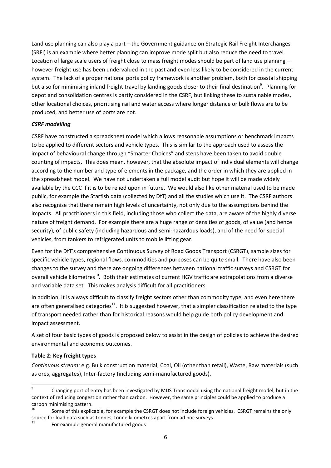Land use planning can also play a part – the Government guidance on Strategic Rail Freight Interchanges (SRFI) is an example where better planning can improve mode split but also reduce the need to travel. Location of large scale users of freight close to mass freight modes should be part of land use planning – however freight use has been undervalued in the past and even less likely to be considered in the current system. The lack of a proper national ports policy framework is another problem, both for coastal shipping but also for minimising inland freight travel by landing goods closer to their final destination<sup>9</sup>. Planning for depot and consolidation centres is partly considered in the CSRF, but linking these to sustainable modes, other locational choices, prioritising rail and water access where longer distance or bulk flows are to be produced, and better use of ports are not.

## *CSRF modelling*

CSRF have constructed a spreadsheet model which allows reasonable assumptions or benchmark impacts to be applied to different sectors and vehicle types. This is similar to the approach used to assess the impact of behavioural change through "Smarter Choices" and steps have been taken to avoid double counting of impacts. This does mean, however, that the absolute impact of individual elements will change according to the number and type of elements in the package, and the order in which they are applied in the spreadsheet model. We have not undertaken a full model audit but hope it will be made widely available by the CCC if it is to be relied upon in future. We would also like other material used to be made public, for example the Starfish data (collected by DfT) and all the studies which use it. The CSRF authors also recognise that there remain high levels of uncertainty, not only due to the assumptions behind the impacts. All practitioners in this field, including those who collect the data, are aware of the highly diverse nature of freight demand. For example there are a huge range of densities of goods, of value (and hence security), of public safety (including hazardous and semi-hazardous loads), and of the need for special vehicles, from tankers to refrigerated units to mobile lifting gear.

Even for the DfT's comprehensive Continuous Survey of Road Goods Transport (CSRGT), sample sizes for specific vehicle types, regional flows, commodities and purposes can be quite small. There have also been changes to the survey and there are ongoing differences between national traffic surveys and CSRGT for overall vehicle kilometres<sup>10</sup>. Both their estimates of current HGV traffic are extrapolations from a diverse and variable data set. This makes analysis difficult for all practitioners.

In addition, it is always difficult to classify freight sectors other than commodity type, and even here there are often generalised categories<sup>11</sup>. It is suggested however, that a simpler classification related to the type of transport needed rather than for historical reasons would help guide both policy development and impact assessment.

A set of four basic types of goods is proposed below to assist in the design of policies to achieve the desired environmental and economic outcomes.

# **Table 2: Key freight types**

*Continuous stream:* e.g. Bulk construction material, Coal, Oil (other than retail), Waste, Raw materials (such as ores, aggregates), Inter-factory (including semi-manufactured goods).

ــ<br>9 Changing port of entry has been investigated by MDS Transmodal using the national freight model, but in the context of reducing congestion rather than carbon. However, the same principles could be applied to produce a carbon minimising pattern.<br>10<br>
Same of this sunlis

Some of this explicable, for example the CSRGT does not include foreign vehicles. CSRGT remains the only source for load data such as tonnes, tonne kilometres apart from ad hoc surveys.

<sup>11</sup> For example general manufactured goods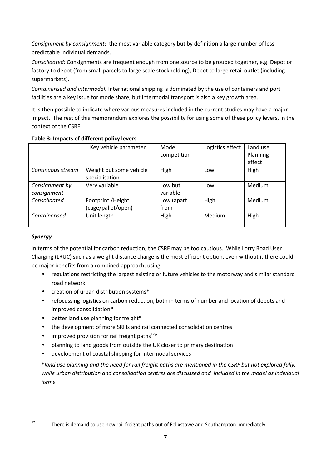*Consignment by consignment*: the most variable category but by definition a large number of less predictable individual demands.

*Consolidated:* Consignments are frequent enough from one source to be grouped together, e.g. Depot or factory to depot (from small parcels to large scale stockholding), Depot to large retail outlet (including supermarkets).

*Containerised and intermodal:* International shipping is dominated by the use of containers and port facilities are a key issue for mode share, but intermodal transport is also a key growth area.

It is then possible to indicate where various measures included in the current studies may have a major impact. The rest of this memorandum explores the possibility for using some of these policy levers, in the context of the CSRF.

|                               | Key vehicle parameter                     | Mode<br>competition | Logistics effect | Land use<br>Planning<br>effect |
|-------------------------------|-------------------------------------------|---------------------|------------------|--------------------------------|
| Continuous stream             | Weight but some vehicle<br>specialisation | High                | Low              | High                           |
| Consignment by<br>consignment | Very variable                             | Low but<br>variable | Low              | Medium                         |
| Consolidated                  | Footprint / Height<br>(cage/pallet/open)  | Low (apart<br>from  | High             | Medium                         |
| Containerised                 | Unit length                               | High                | Medium           | High                           |

# **Table 3: Impacts of different policy levers**

# *Synergy*

In terms of the potential for carbon reduction, the CSRF may be too cautious. While Lorry Road User Charging (LRUC) such as a weight distance charge is the most efficient option, even without it there could be major benefits from a combined approach, using:

- regulations restricting the largest existing or future vehicles to the motorway and similar standard road network
- creation of urban distribution systems**\***
- refocussing logistics on carbon reduction, both in terms of number and location of depots and improved consolidation**\***
- better land use planning for freight**\***
- the development of more SRFIs and rail connected consolidation centres
- improved provision for rail freight paths<sup>12</sup>\*
- planning to land goods from outside the UK closer to primary destination
- development of coastal shipping for intermodal services

**\****land use planning and the need for rail freight paths are mentioned in the CSRF but not explored fully, while urban distribution and consolidation centres are discussed and included in the model as individual items*

 $12$ 

There is demand to use new rail freight paths out of Felixstowe and Southampton immediately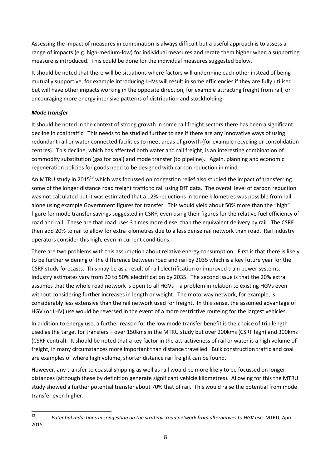Assessing the impact of measures in combination is always difficult but a useful approach is to assess a range of impacts (e.g. high-medium-low) for individual measures and rerate them higher when a supporting measure is introduced. This could be done for the individual measures suggested below.

It should be noted that there will be situations where factors will undermine each other instead of being mutually supportive, for example introducing LHVs will result in some efficiencies if they are fully utilised but will have other impacts working in the opposite direction, for example attracting freight from rail, or encouraging more energy intensive patterns of distribution and stockholding.

# *Mode transfer*

It should be noted in the context of strong growth in some rail freight sectors there has been a significant decline in coal traffic. This needs to be studied further to see if there are any innovative ways of using redundant rail or water connected facilities to meet areas of growth (for example recycling or consolidation centres). This decline, which has affected both water and rail freight, is an interesting combination of commodity substitution (gas for coal) and mode transfer (to pipeline). Again, planning and economic regeneration policies for goods need to be designed with carbon reduction in mind.

An MTRU study in 2015<sup>13</sup> which was focussed on congestion relief also studied the impact of transferring some of the longer distance road freight traffic to rail using DfT data. The overall level of carbon reduction was not calculated but it was estimated that a 12% reductions in tonne kilometres was possible from rail alone using example Government figures for transfer. This would yield about 50% more than the "high" figure for mode transfer savings suggested in CSRF, even using their figures for the relative fuel efficiency of road and rail. These are that road uses 3 times more diesel than the equivalent delivery by rail. The CSRF then add 20% to rail to allow for extra kilometres due to a less dense rail network than road. Rail industry operators consider this high, even in current conditions.

There are two problems with this assumption about relative energy consumption. First is that there is likely to be further widening of the difference between road and rail by 2035 which is a key future year for the CSRF study forecasts. This may be as a result of rail electrification or improved train power systems. Industry estimates vary from 20 to 50% electrification by 2035. The second issue is that the 20% extra assumes that the whole road network is open to all HGVs – a problem in relation to existing HGVs even without considering further increases in length or weight. The motorway network, for example, is considerably less extensive than the rail network used for freight. In this sense, the assumed advantage of HGV (or LHV) use would be reversed in the event of a more restrictive routeing for the largest vehicles.

In addition to energy use, a further reason for the low mode transfer benefit is the choice of trip length used as the target for transfers – over 150kms in the MTRU study but over 200kms (CSRF high) and 300kms (CSRF central). It should be noted that a key factor in the attractiveness of rail or water is a high volume of freight, in many circumstances more important than distance travelled. Bulk construction traffic and coal are examples of where high volume, shorter distance rail freight can be found.

However, any transfer to coastal shipping as well as rail would be more likely to be focussed on longer distances (although these by definition generate significant vehicle kilometres). Allowing for this the MTRU study showed a further potential transfer about 70% that of rail. This would raise the potential from mode transfer even higher.

<sup>—&</sup>lt;br>13 2015

*Potential reductions in congestion on the strategic road network from alternatives to HGV use,* MTRU, April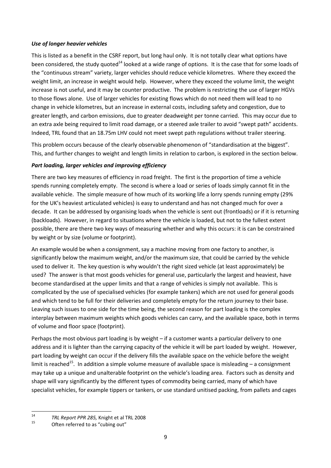## *Use of longer heavier vehicles*

This is listed as a benefit in the CSRF report, but long haul only. It is not totally clear what options have been considered, the study quoted<sup>14</sup> looked at a wide range of options. It is the case that for some loads of the "continuous stream" variety, larger vehicles should reduce vehicle kilometres. Where they exceed the weight limit, an increase in weight would help. However, where they exceed the volume limit, the weight increase is not useful, and it may be counter productive. The problem is restricting the use of larger HGVs to those flows alone. Use of larger vehicles for existing flows which do not need them will lead to no change in vehicle kilometres, but an increase in external costs, including safety and congestion, due to greater length, and carbon emissions, due to greater deadweight per tonne carried. This may occur due to an extra axle being required to limit road damage, or a steered axle trailer to avoid "swept path" accidents. Indeed, TRL found that an 18.75m LHV could not meet swept path regulations without trailer steering.

This problem occurs because of the clearly observable phenomenon of "standardisation at the biggest". This, and further changes to weight and length limits in relation to carbon, is explored in the section below.

#### *Part loading, larger vehicles and improving efficiency*

There are two key measures of efficiency in road freight. The first is the proportion of time a vehicle spends running completely empty. The second is where a load or series of loads simply cannot fit in the available vehicle. The simple measure of how much of its working life a lorry spends running empty (29% for the UK's heaviest articulated vehicles) is easy to understand and has not changed much for over a decade. It can be addressed by organising loads when the vehicle is sent out (frontloads) or if it is returning (backloads). However, in regard to situations where the vehicle is loaded, but not to the fullest extent possible, there are there two key ways of measuring whether and why this occurs: it is can be constrained by weight or by size (volume or footprint).

An example would be when a consignment, say a machine moving from one factory to another, is significantly below the maximum weight, and/or the maximum size, that could be carried by the vehicle used to deliver it. The key question is why wouldn't the right sized vehicle (at least approximately) be used? The answer is that most goods vehicles for general use, particularly the largest and heaviest, have become standardised at the upper limits and that a range of vehicles is simply not available. This is complicated by the use of specialised vehicles (for example tankers) which are not used for general goods and which tend to be full for their deliveries and completely empty for the return journey to their base. Leaving such issues to one side for the time being, the second reason for part loading is the complex interplay between maximum weights which goods vehicles can carry, and the available space, both in terms of volume and floor space (footprint).

Perhaps the most obvious part loading is by weight – if a customer wants a particular delivery to one address and it is lighter than the carrying capacity of the vehicle it will be part loaded by weight. However, part loading by weight can occur if the delivery fills the available space on the vehicle before the weight limit is reached<sup>15</sup>. In addition a simple volume measure of available space is misleading  $-$  a consignment may take up a unique and unalterable footprint on the vehicle's loading area. Factors such as density and shape will vary significantly by the different types of commodity being carried, many of which have specialist vehicles, for example tippers or tankers, or use standard unitised packing, from pallets and cages

 $\frac{1}{14}$ <sup>14</sup> TRL Report PPR 285, Knight et al TRL 2008

Often referred to as "cubing out"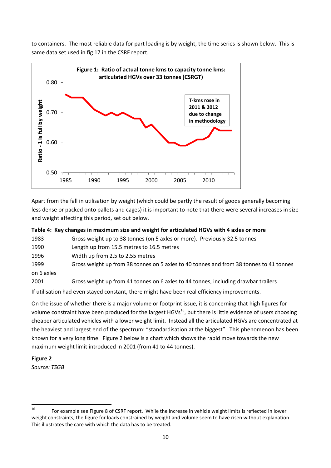to containers. The most reliable data for part loading is by weight, the time series is shown below. This is same data set used in fig 17 in the CSRF report.



Apart from the fall in utilisation by weight (which could be partly the result of goods generally becoming less dense or packed onto pallets and cages) it is important to note that there were several increases in size and weight affecting this period, set out below.

|      | Table 4: Key changes in maximum size and weight for articulated HGVs with 4 axles or more |
|------|-------------------------------------------------------------------------------------------|
| 1983 | Gross weight up to 38 tonnes (on 5 axles or more). Previously 32.5 tonnes                 |

| 1990 | Length up from 15.5 metres to 16.5 metres |
|------|-------------------------------------------|
|      |                                           |

1996 Width up from 2.5 to 2.55 metres

1999 Gross weight up from 38 tonnes on 5 axles to 40 tonnes and from 38 tonnes to 41 tonnes on 6 axles

2001 Gross weight up from 41 tonnes on 6 axles to 44 tonnes, including drawbar trailers If utilisation had even stayed constant, there might have been real efficiency improvements.

On the issue of whether there is a major volume or footprint issue, it is concerning that high figures for volume constraint have been produced for the largest HGVs<sup>16</sup>, but there is little evidence of users choosing cheaper articulated vehicles with a lower weight limit. Instead all the articulated HGVs are concentrated at the heaviest and largest end of the spectrum: "standardisation at the biggest". This phenomenon has been known for a very long time. Figure 2 below is a chart which shows the rapid move towards the new maximum weight limit introduced in 2001 (from 41 to 44 tonnes).

**Figure 2** 

*Source: TSGB* 

<sup>16</sup> For example see Figure 8 of CSRF report. While the increase in vehicle weight limits is reflected in lower weight constraints, the figure for loads constrained by weight and volume seem to have risen without explanation. This illustrates the care with which the data has to be treated.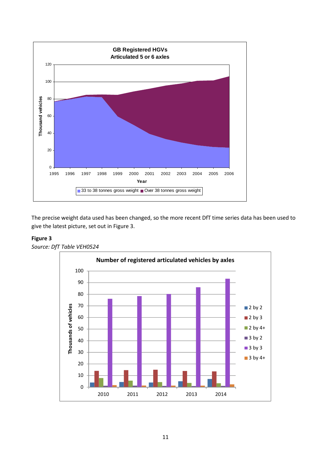

The precise weight data used has been changed, so the more recent DfT time series data has been used to give the latest picture, set out in Figure 3.

## **Figure 3**



*Source: DfT Table VEH0524*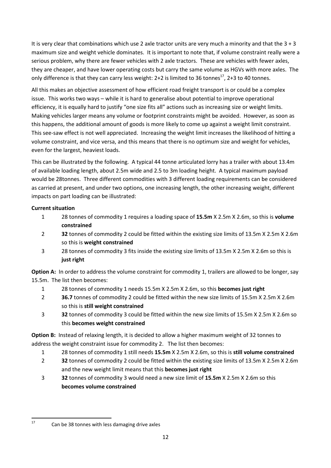It is very clear that combinations which use 2 axle tractor units are very much a minority and that the  $3 + 3$ maximum size and weight vehicle dominates. It is important to note that, if volume constraint really were a serious problem, why there are fewer vehicles with 2 axle tractors. These are vehicles with fewer axles, they are cheaper, and have lower operating costs but carry the same volume as HGVs with more axles. The only difference is that they can carry less weight:  $2+2$  is limited to 36 tonnes<sup>17</sup>,  $2+3$  to 40 tonnes.

All this makes an objective assessment of how efficient road freight transport is or could be a complex issue. This works two ways – while it is hard to generalise about potential to improve operational efficiency, it is equally hard to justify "one size fits all" actions such as increasing size or weight limits. Making vehicles larger means any volume or footprint constraints might be avoided. However, as soon as this happens, the additional amount of goods is more likely to come up against a weight limit constraint. This see-saw effect is not well appreciated. Increasing the weight limit increases the likelihood of hitting a volume constraint, and vice versa, and this means that there is no optimum size and weight for vehicles, even for the largest, heaviest loads.

This can be illustrated by the following. A typical 44 tonne articulated lorry has a trailer with about 13.4m of available loading length, about 2.5m wide and 2.5 to 3m loading height. A typical maximum payload would be 28tonnes. Three different commodities with 3 different loading requirements can be considered as carried at present, and under two options, one increasing length, the other increasing weight, different impacts on part loading can be illustrated:

# **Current situation**

- 1 28 tonnes of commodity 1 requires a loading space of **15.5m** X 2.5m X 2.6m, so this is **volume constrained**
- 2 **32** tonnes of commodity 2 could be fitted within the existing size limits of 13.5m X 2.5m X 2.6m so this is **weight constrained**
- 3 28 tonnes of commodity 3 fits inside the existing size limits of 13.5m X 2.5m X 2.6m so this is **just right**

**Option A:** In order to address the volume constraint for commodity 1, trailers are allowed to be longer, say 15.5m. The list then becomes:

- 1 28 tonnes of commodity 1 needs 15.5m X 2.5m X 2.6m, so this **becomes just right**
- 2 **36.7** tonnes of commodity 2 could be fitted within the new size limits of 15.5m X 2.5m X 2.6m so this is **still weight constrained**
- 3 **32** tonnes of commodity 3 could be fitted within the new size limits of 15.5m X 2.5m X 2.6m so this **becomes weight constrained**

**Option B:** Instead of relaxing length, it is decided to allow a higher maximum weight of 32 tonnes to address the weight constraint issue for commodity 2. The list then becomes:

- 1 28 tonnes of commodity 1 still needs **15.5m** X 2.5m X 2.6m, so this is **still volume constrained**
- 2 **32** tonnes of commodity 2 could be fitted within the existing size limits of 13.5m X 2.5m X 2.6m and the new weight limit means that this **becomes just right**
- 3 **32** tonnes of commodity 3 would need a new size limit of **15.5m** X 2.5m X 2.6m so this **becomes volume constrained**

 $17$ 

Can be 38 tonnes with less damaging drive axles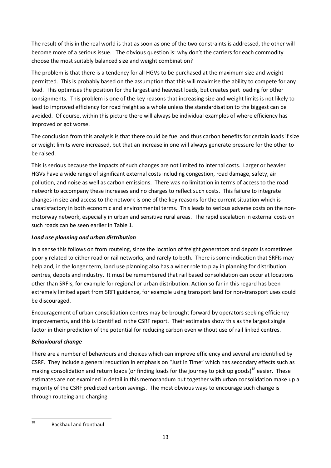The result of this in the real world is that as soon as one of the two constraints is addressed, the other will become more of a serious issue. The obvious question is: why don't the carriers for each commodity choose the most suitably balanced size and weight combination?

The problem is that there is a tendency for all HGVs to be purchased at the maximum size and weight permitted. This is probably based on the assumption that this will maximise the ability to compete for any load. This optimises the position for the largest and heaviest loads, but creates part loading for other consignments. This problem is one of the key reasons that increasing size and weight limits is not likely to lead to improved efficiency for road freight as a whole unless the standardisation to the biggest can be avoided. Of course, within this picture there will always be individual examples of where efficiency has improved or got worse.

The conclusion from this analysis is that there could be fuel and thus carbon benefits for certain loads if size or weight limits were increased, but that an increase in one will always generate pressure for the other to be raised.

This is serious because the impacts of such changes are not limited to internal costs. Larger or heavier HGVs have a wide range of significant external costs including congestion, road damage, safety, air pollution, and noise as well as carbon emissions. There was no limitation in terms of access to the road network to accompany these increases and no charges to reflect such costs. This failure to integrate changes in size and access to the network is one of the key reasons for the current situation which is unsatisfactory in both economic and environmental terms. This leads to serious adverse costs on the nonmotorway network, especially in urban and sensitive rural areas. The rapid escalation in external costs on such roads can be seen earlier in Table 1.

# *Land use planning and urban distribution*

In a sense this follows on from routeing, since the location of freight generators and depots is sometimes poorly related to either road or rail networks, and rarely to both. There is some indication that SRFIs may help and, in the longer term, land use planning also has a wider role to play in planning for distribution centres, depots and industry. It must be remembered that rail based consolidation can occur at locations other than SRFIs, for example for regional or urban distribution. Action so far in this regard has been extremely limited apart from SRFI guidance, for example using transport land for non-transport uses could be discouraged.

Encouragement of urban consolidation centres may be brought forward by operators seeking efficiency improvements, and this is identified in the CSRF report. Their estimates show this as the largest single factor in their prediction of the potential for reducing carbon even without use of rail linked centres.

# *Behavioural change*

There are a number of behaviours and choices which can improve efficiency and several are identified by CSRF. They include a general reduction in emphasis on "Just in Time" which has secondary effects such as making consolidation and return loads (or finding loads for the journey to pick up goods)<sup>18</sup> easier. These estimates are not examined in detail in this memorandum but together with urban consolidation make up a majority of the CSRF predicted carbon savings. The most obvious ways to encourage such change is through routeing and charging.

<sup>18</sup> <sup>18</sup> Backhaul and fronthaul